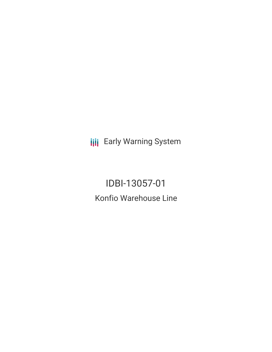**III** Early Warning System

IDBI-13057-01 Konfio Warehouse Line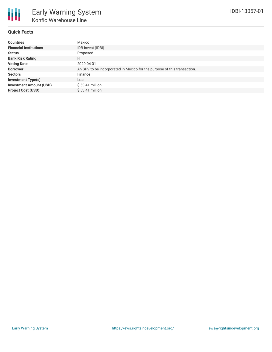

## **Quick Facts**

| <b>Countries</b>               | Mexico                                                                   |
|--------------------------------|--------------------------------------------------------------------------|
| <b>Financial Institutions</b>  | IDB Invest (IDBI)                                                        |
| <b>Status</b>                  | Proposed                                                                 |
| <b>Bank Risk Rating</b>        | FI                                                                       |
| <b>Voting Date</b>             | 2020-04-01                                                               |
| <b>Borrower</b>                | An SPV to be incorporated in Mexico for the purpose of this transaction. |
| <b>Sectors</b>                 | Finance                                                                  |
| <b>Investment Type(s)</b>      | Loan                                                                     |
| <b>Investment Amount (USD)</b> | $$53.41$ million                                                         |
| <b>Project Cost (USD)</b>      | $$53.41$ million                                                         |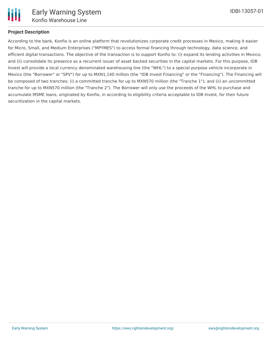

## **Project Description**

According to the bank, Konfio is an online platform that revolutionizes corporate credit processes in Mexico, making it easier for Micro, Small, and Medium Enterprises ("MPYMES") to access formal financing through technology, data science, and efficient digital transactions. The objective of the transaction is to support Konfio to: (i) expand its lending activities in Mexico; and (ii) consolidate its presence as a recurrent issuer of asset backed securities in the capital markets. For this purpose, IDB Invest will provide a local currency denominated warehousing line (the "WHL") to a special purpose vehicle incorporate in Mexico (the "Borrower" or "SPV") for up to MXN1,140 million (the "IDB Invest Financing" or the "Financing"). The Financing will be composed of two tranches: (i) a committed tranche for up to MXN570 million (the "Tranche 1"); and (ii) an uncommitted tranche for up to MXN570 million (the "Tranche 2"). The Borrower will only use the proceeds of the WHL to purchase and accumulate MSME loans, originated by Konfio, in according to eligibility criteria acceptable to IDB Invest, for their future securitization in the capital markets.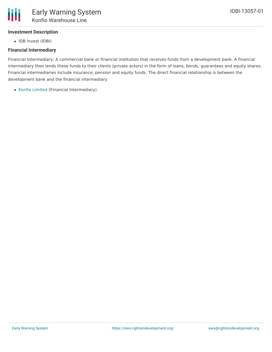

# **Investment Description**

• IDB Invest (IDBI)

# **Financial Intermediary**

Financial Intermediary: A commercial bank or financial institution that receives funds from a development bank. A financial intermediary then lends these funds to their clients (private actors) in the form of loans, bonds, guarantees and equity shares. Financial intermediaries include insurance, pension and equity funds. The direct financial relationship is between the development bank and the financial intermediary.

Konfio [Limited](file:///actor/1062/) (Financial Intermediary)